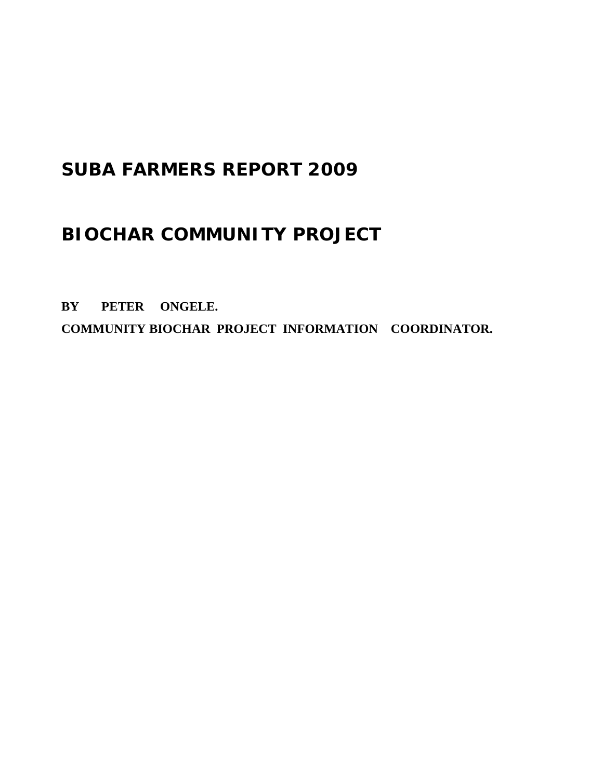# **SUBA FARMERS REPORT 2009**

## **BIOCHAR COMMUNITY PROJECT**

**BY PETER ONGELE. COMMUNITY BIOCHAR PROJECT INFORMATION COORDINATOR.**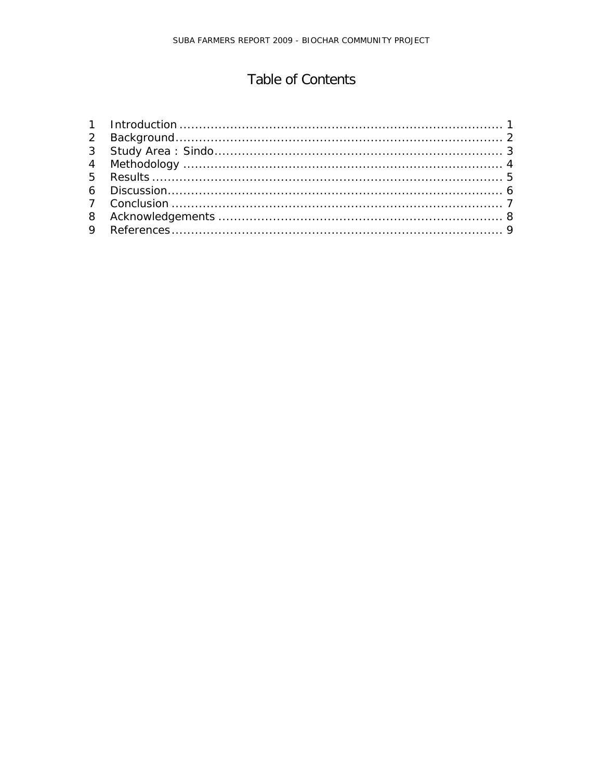## Table of Contents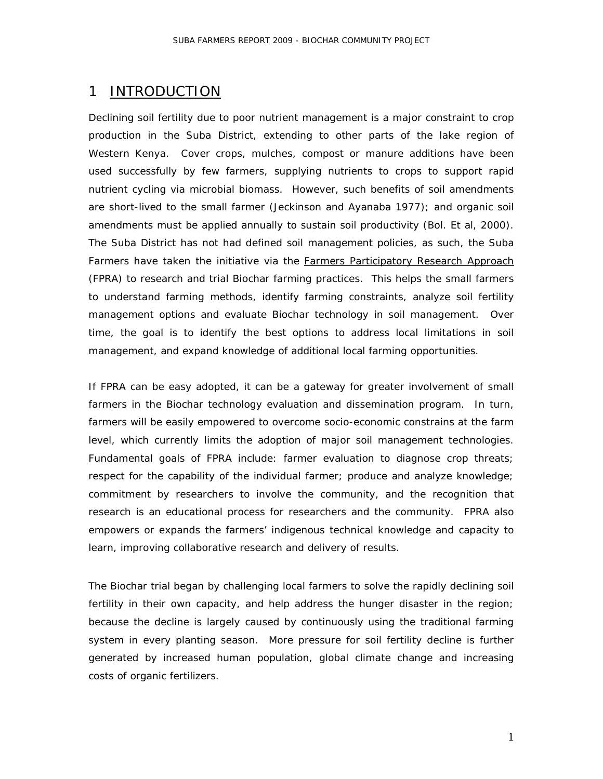#### <span id="page-2-0"></span>1 INTRODUCTION

Declining soil fertility due to poor nutrient management is a major constraint to crop production in the Suba District, extending to other parts of the lake region of Western Kenya. Cover crops, mulches, compost or manure additions have been used successfully by few farmers, supplying nutrients to crops to support rapid nutrient cycling via microbial biomass. However, such benefits of soil amendments are short-lived to the small farmer (Jeckinson and Ayanaba 1977); and organic soil amendments must be applied annually to sustain soil productivity (Bol. Et al, 2000). The Suba District has not had defined soil management policies, as such, the Suba Farmers have taken the initiative via the *Farmers Participatory Research Approach* (FPRA) to research and trial Biochar farming practices. This helps the small farmers to understand farming methods, identify farming constraints, analyze soil fertility management options and evaluate Biochar technology in soil management. Over time, the goal is to identify the best options to address local limitations in soil management, and expand knowledge of additional local farming opportunities.

If FPRA can be easy adopted, it can be a gateway for greater involvement of small farmers in the Biochar technology evaluation and dissemination program. In turn, farmers will be easily empowered to overcome socio-economic constrains at the farm level, which currently limits the adoption of major soil management technologies. Fundamental goals of FPRA include: farmer evaluation to diagnose crop threats; respect for the capability of the individual farmer; produce and analyze knowledge; commitment by researchers to involve the community, and the recognition that research is an educational process for researchers and the community. FPRA also empowers or expands the farmers' indigenous technical knowledge and capacity to learn, improving collaborative research and delivery of results.

The Biochar trial began by challenging local farmers to solve the rapidly declining soil fertility in their own capacity, and help address the hunger disaster in the region; because the decline is largely caused by continuously using the traditional farming system in every planting season. More pressure for soil fertility decline is further generated by increased human population, global climate change and increasing costs of organic fertilizers.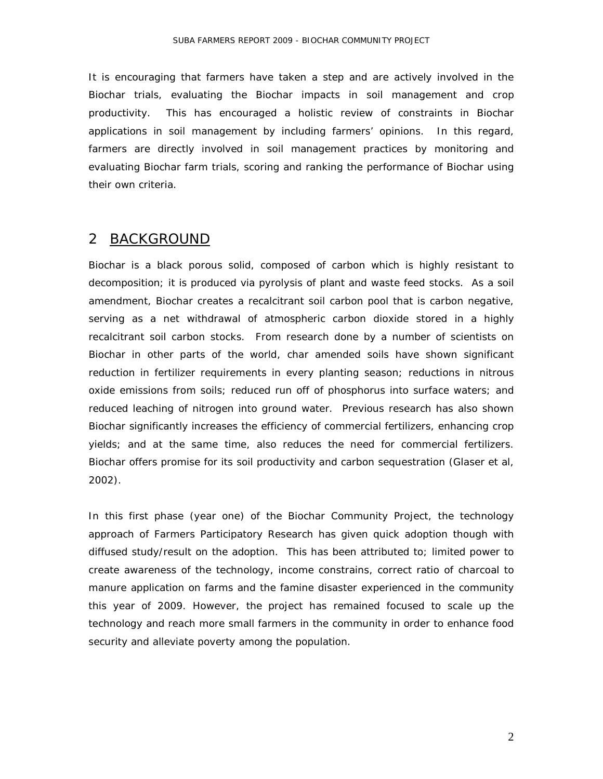It is encouraging that farmers have taken a step and are actively involved in the Biochar trials, evaluating the Biochar impacts in soil management and crop productivity. This has encouraged a holistic review of constraints in Biochar applications in soil management by including farmers' opinions. In this regard, farmers are directly involved in soil management practices by monitoring and evaluating Biochar farm trials, scoring and ranking the performance of Biochar using their own criteria.

### <span id="page-3-0"></span>2 <u>BACKGROUND</u>

Biochar is a black porous solid, composed of carbon which is highly resistant to decomposition; it is produced via pyrolysis of plant and waste feed stocks. As a soil amendment, Biochar creates a recalcitrant soil carbon pool that is carbon negative, serving as a net withdrawal of atmospheric carbon dioxide stored in a highly recalcitrant soil carbon stocks. From research done by a number of scientists on Biochar in other parts of the world, char amended soils have shown significant reduction in fertilizer requirements in every planting season; reductions in nitrous oxide emissions from soils; reduced run off of phosphorus into surface waters; and reduced leaching of nitrogen into ground water. Previous research has also shown Biochar significantly increases the efficiency of commercial fertilizers, enhancing crop yields; and at the same time, also reduces the need for commercial fertilizers. Biochar offers promise for its soil productivity and carbon sequestration (Glaser et al, 2002).

In this first phase (year one) of the Biochar Community Project, the technology approach of Farmers Participatory Research has given quick adoption though with diffused study/result on the adoption. This has been attributed to; limited power to create awareness of the technology, income constrains, correct ratio of charcoal to manure application on farms and the famine disaster experienced in the community this year of 2009. However, the project has remained focused to scale up the technology and reach more small farmers in the community in order to enhance food security and alleviate poverty among the population.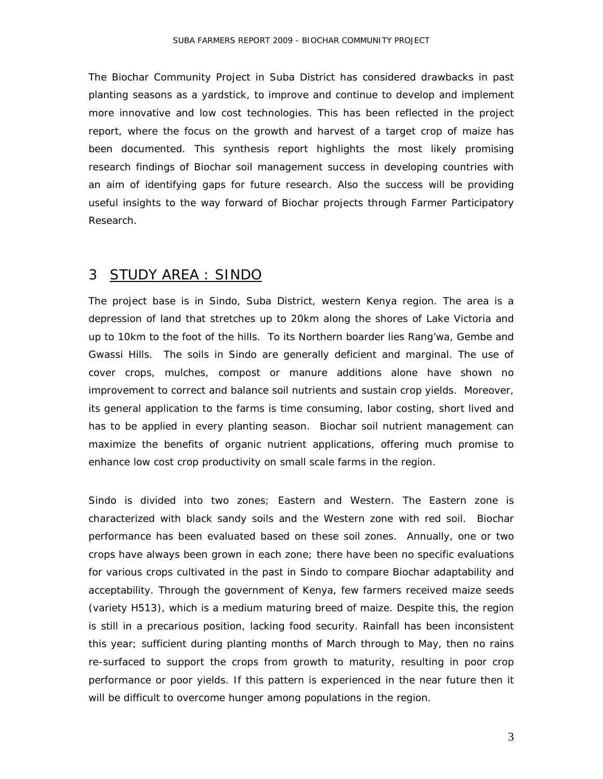The Biochar Community Project in Suba District has considered drawbacks in past planting seasons as a yardstick, to improve and continue to develop and implement more innovative and low cost technologies. This has been reflected in the project report, where the focus on the growth and harvest of a target crop of maize has been documented. This synthesis report highlights the most likely promising research findings of Biochar soil management success in developing countries with an aim of identifying gaps for future research. Also the success will be providing useful insights to the way forward of Biochar projects through Farmer Participatory Research.

#### <span id="page-4-0"></span>3 STUDY AREA : SINDO

The project base is in Sindo, Suba District, western Kenya region. The area is a depression of land that stretches up to 20km along the shores of Lake Victoria and up to 10km to the foot of the hills. To its Northern boarder lies Rang'wa, Gembe and Gwassi Hills. The soils in Sindo are generally deficient and marginal. The use of cover crops, mulches, compost or manure additions alone have shown no improvement to correct and balance soil nutrients and sustain crop yields. Moreover, its general application to the farms is time consuming, labor costing, short lived and has to be applied in every planting season. Biochar soil nutrient management can maximize the benefits of organic nutrient applications, offering much promise to enhance low cost crop productivity on small scale farms in the region.

Sindo is divided into two zones; Eastern and Western. The Eastern zone is characterized with black sandy soils and the Western zone with red soil. Biochar performance has been evaluated based on these soil zones. Annually, one or two crops have always been grown in each zone; there have been no specific evaluations for various crops cultivated in the past in Sindo to compare Biochar adaptability and acceptability. Through the government of Kenya, few farmers received maize seeds (variety H513), which is a medium maturing breed of maize. Despite this, the region is still in a precarious position, lacking food security. Rainfall has been inconsistent this year; sufficient during planting months of March through to May, then no rains re-surfaced to support the crops from growth to maturity, resulting in poor crop performance or poor yields. If this pattern is experienced in the near future then it will be difficult to overcome hunger among populations in the region.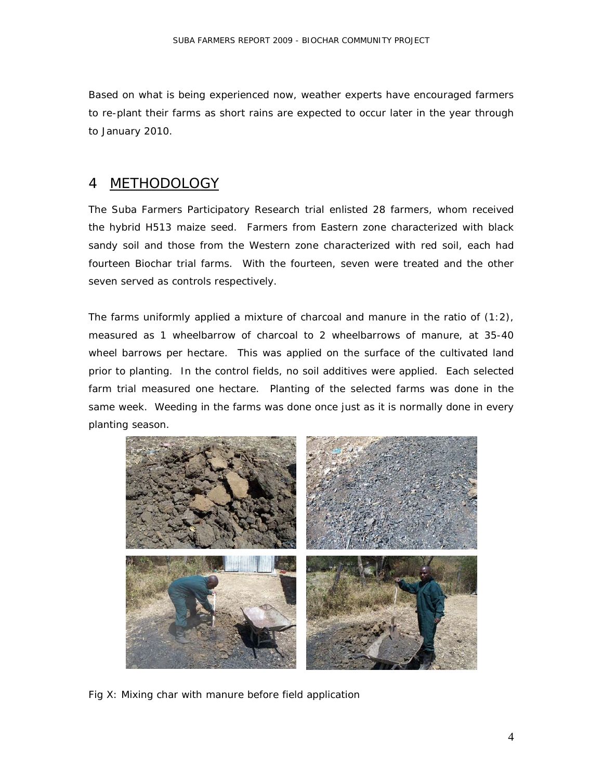Based on what is being experienced now, weather experts have encouraged farmers to re-plant their farms as short rains are expected to occur later in the year through to January 2010.

#### <span id="page-5-0"></span>4 **METHODOLOGY**

The Suba Farmers Participatory Research trial enlisted 28 farmers, whom received the hybrid H513 maize seed. Farmers from Eastern zone characterized with black sandy soil and those from the Western zone characterized with red soil, each had fourteen Biochar trial farms. With the fourteen, seven were treated and the other seven served as controls respectively.

The farms uniformly applied a mixture of charcoal and manure in the ratio of (1:2), measured as 1 wheelbarrow of charcoal to 2 wheelbarrows of manure, at 35-40 wheel barrows per hectare. This was applied on the surface of the cultivated land prior to planting. In the control fields, no soil additives were applied. Each selected farm trial measured one hectare. Planting of the selected farms was done in the same week. Weeding in the farms was done once just as it is normally done in every planting season.



Fig X: Mixing char with manure before field application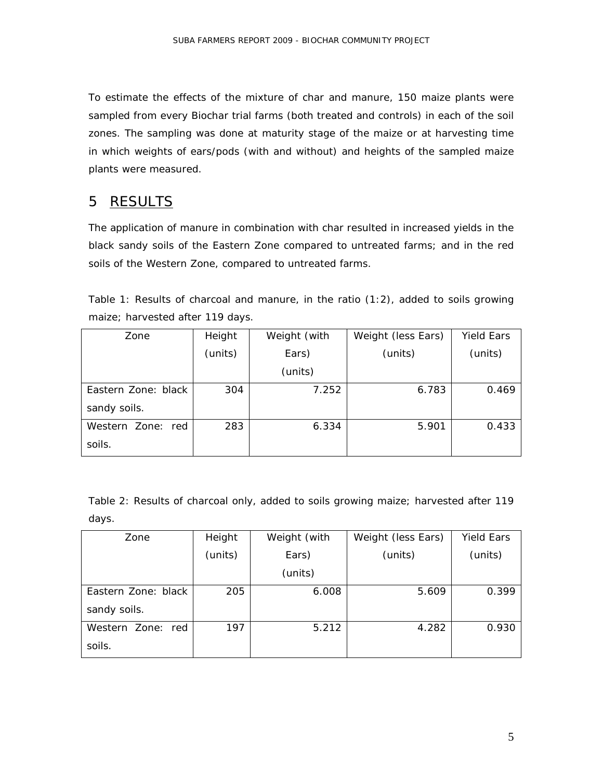To estimate the effects of the mixture of char and manure, 150 maize plants were sampled from every Biochar trial farms (both treated and controls) in each of the soil zones. The sampling was done at maturity stage of the maize or at harvesting time in which weights of ears/pods (with and without) and heights of the sampled maize plants were measured.

#### <span id="page-6-0"></span>5 RESULTS

The application of manure in combination with char resulted in increased yields in the black sandy soils of the Eastern Zone compared to untreated farms; and in the red soils of the Western Zone, compared to untreated farms.

| Table 1: Results of charcoal and manure, in the ratio $(1:2)$ , added to soils growing |  |  |  |  |  |  |  |
|----------------------------------------------------------------------------------------|--|--|--|--|--|--|--|
| maize; harvested after 119 days.                                                       |  |  |  |  |  |  |  |

| Zone                | Height  | Weight (with | Weight (less Ears) | <b>Yield Ears</b> |  |
|---------------------|---------|--------------|--------------------|-------------------|--|
|                     | (units) | Ears)        | (units)            | (units)           |  |
|                     |         | (units)      |                    |                   |  |
| Eastern Zone: black | 304     | 7.252        | 6.783              | 0.469             |  |
| sandy soils.        |         |              |                    |                   |  |
| Western Zone: red   | 283     | 6.334        | 5.901              | 0.433             |  |
| soils.              |         |              |                    |                   |  |

Table 2: Results of charcoal only, added to soils growing maize; harvested after 119 days.

| Zone                | Height  | Weight (with | Weight (less Ears) | <b>Yield Ears</b> |  |
|---------------------|---------|--------------|--------------------|-------------------|--|
|                     | (units) | Ears)        | (units)            | (units)           |  |
|                     |         | (units)      |                    |                   |  |
| Eastern Zone: black | 205     | 6.008        | 5.609              | 0.399             |  |
| sandy soils.        |         |              |                    |                   |  |
| Western Zone: red   | 197     | 5.212        | 4.282              | 0.930             |  |
| soils.              |         |              |                    |                   |  |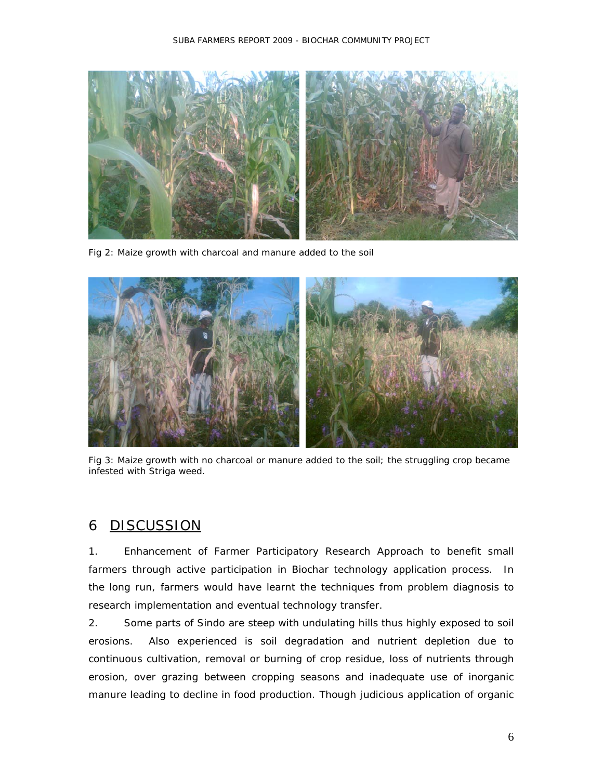

Fig 2: Maize growth with charcoal and manure added to the soil



Fig 3: Maize growth with no charcoal or manure added to the soil; the struggling crop became infested with Striga weed.

#### <span id="page-7-0"></span>6 **DISCUSSION**

1. Enhancement of Farmer Participatory Research Approach to benefit small farmers through active participation in Biochar technology application process. In the long run, farmers would have learnt the techniques from problem diagnosis to research implementation and eventual technology transfer.

2. Some parts of Sindo are steep with undulating hills thus highly exposed to soil erosions. Also experienced is soil degradation and nutrient depletion due to continuous cultivation, removal or burning of crop residue, loss of nutrients through erosion, over grazing between cropping seasons and inadequate use of inorganic manure leading to decline in food production. Though judicious application of organic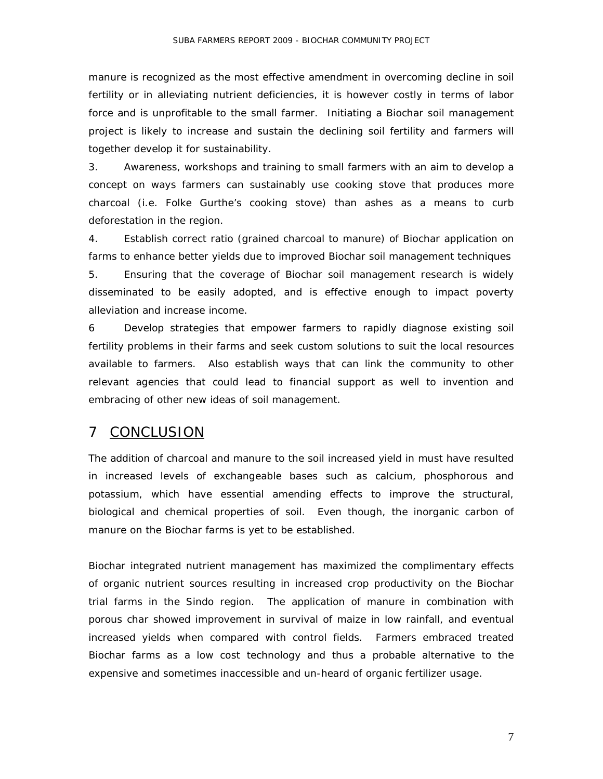manure is recognized as the most effective amendment in overcoming decline in soil fertility or in alleviating nutrient deficiencies, it is however costly in terms of labor force and is unprofitable to the small farmer. Initiating a Biochar soil management project is likely to increase and sustain the declining soil fertility and farmers will together develop it for sustainability.

3. Awareness, workshops and training to small farmers with an aim to develop a concept on ways farmers can sustainably use cooking stove that produces more charcoal (i.e. Folke Gurthe's cooking stove) than ashes as a means to curb deforestation in the region.

4. Establish correct ratio (grained charcoal to manure) of Biochar application on farms to enhance better yields due to improved Biochar soil management techniques 5. Ensuring that the coverage of Biochar soil management research is widely disseminated to be easily adopted, and is effective enough to impact poverty alleviation and increase income.

6 Develop strategies that empower farmers to rapidly diagnose existing soil fertility problems in their farms and seek custom solutions to suit the local resources available to farmers. Also establish ways that can link the community to other relevant agencies that could lead to financial support as well to invention and embracing of other new ideas of soil management.

#### <span id="page-8-0"></span>7 CONCLUSION

The addition of charcoal and manure to the soil increased yield in must have resulted in increased levels of exchangeable bases such as calcium, phosphorous and potassium, which have essential amending effects to improve the structural, biological and chemical properties of soil. Even though, the inorganic carbon of manure on the Biochar farms is yet to be established.

Biochar integrated nutrient management has maximized the complimentary effects of organic nutrient sources resulting in increased crop productivity on the Biochar trial farms in the Sindo region. The application of manure in combination with porous char showed improvement in survival of maize in low rainfall, and eventual increased yields when compared with control fields. Farmers embraced treated Biochar farms as a low cost technology and thus a probable alternative to the expensive and sometimes inaccessible and un-heard of organic fertilizer usage.

7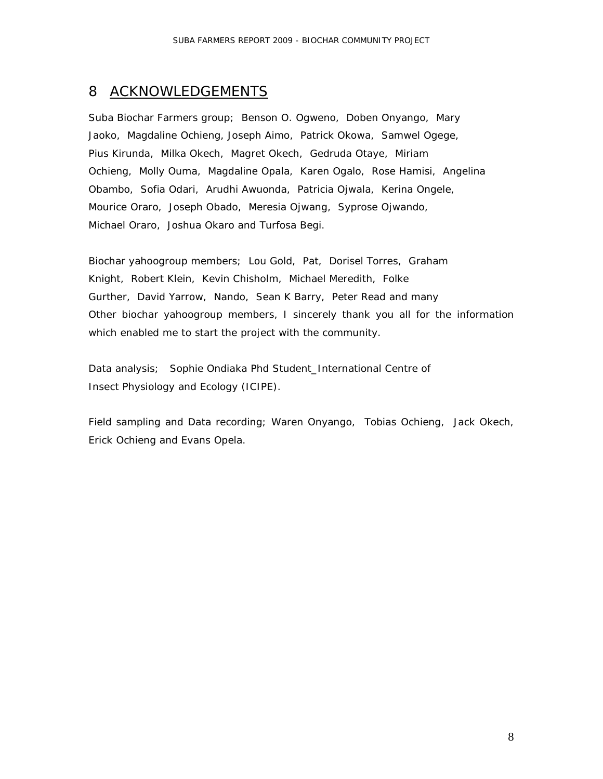### <span id="page-9-0"></span>8 ACKNOWLEDGEMENTS

Suba Biochar Farmers group; Benson O. Ogweno, Doben Onyango, Mary Jaoko, Magdaline Ochieng, Joseph Aimo, Patrick Okowa, Samwel Ogege, Pius Kirunda, Milka Okech, Magret Okech, Gedruda Otaye, Miriam Ochieng, Molly Ouma, Magdaline Opala, Karen Ogalo, Rose Hamisi, Angelina Obambo, Sofia Odari, Arudhi Awuonda, Patricia Ojwala, Kerina Ongele, Mourice Oraro, Joseph Obado, Meresia Ojwang, Syprose Ojwando, Michael Oraro, Joshua Okaro and Turfosa Begi.

Biochar yahoogroup members; Lou Gold, Pat, Dorisel Torres, Graham Knight, Robert Klein, Kevin Chisholm, Michael Meredith, Folke Gurther, David Yarrow, Nando, Sean K Barry, Peter Read and many Other biochar yahoogroup members, I sincerely thank you all for the information which enabled me to start the project with the community.

Data analysis; Sophie Ondiaka Phd Student\_International Centre of Insect Physiology and Ecology (ICIPE).

Field sampling and Data recording; Waren Onyango, Tobias Ochieng, Jack Okech, Erick Ochieng and Evans Opela.